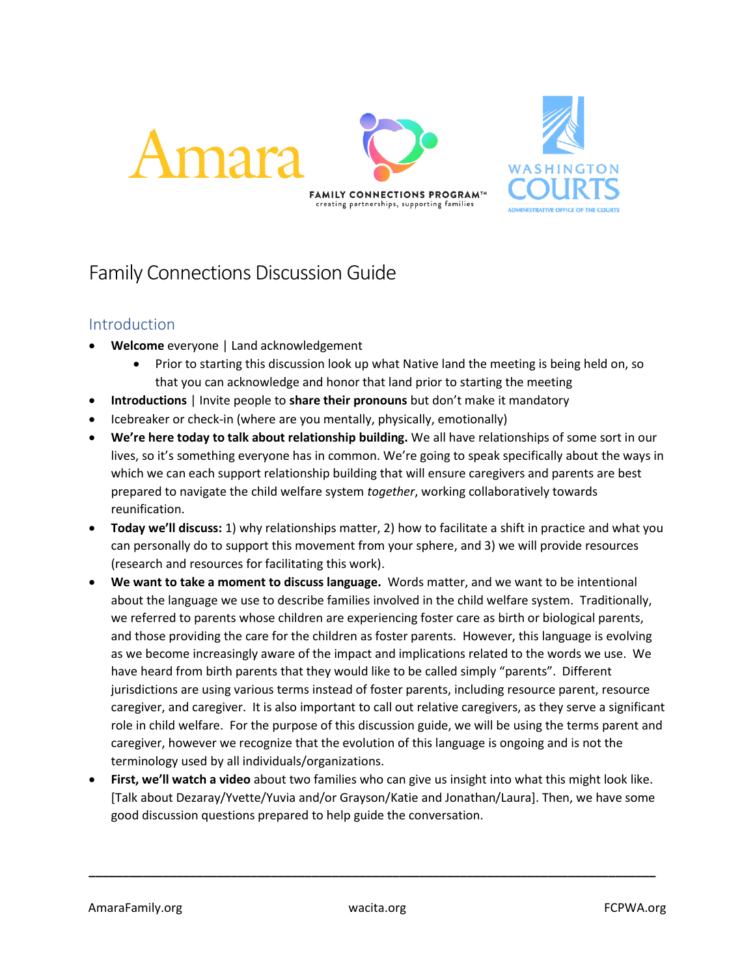

# Family Connections Discussion Guide

## Introduction

- **Welcome** everyone | Land acknowledgement
	- Prior to starting this discussion look up what Native land the meeting is being held on, so that you can acknowledge and honor that land prior to starting the meeting
- **Introductions** | Invite people to **share their pronouns** but don't make it mandatory
- Icebreaker or check-in (where are you mentally, physically, emotionally)
- **We're here today to talk about relationship building.** We all have relationships of some sort in our lives, so it's something everyone has in common. We're going to speak specifically about the ways in which we can each support relationship building that will ensure caregivers and parents are best prepared to navigate the child welfare system *together*, working collaboratively towards reunification.
- **Today we'll discuss:** 1) why relationships matter, 2) how to facilitate a shift in practice and what you can personally do to support this movement from your sphere, and 3) we will provide resources (research and resources for facilitating this work).
- **We want to take a moment to discuss language.** Words matter, and we want to be intentional about the language we use to describe families involved in the child welfare system. Traditionally, we referred to parents whose children are experiencing foster care as birth or biological parents, and those providing the care for the children as foster parents. However, this language is evolving as we become increasingly aware of the impact and implications related to the words we use. We have heard from birth parents that they would like to be called simply "parents". Different jurisdictions are using various terms instead of foster parents, including resource parent, resource caregiver, and caregiver. It is also important to call out relative caregivers, as they serve a significant role in child welfare. For the purpose of this discussion guide, we will be using the terms parent and caregiver, however we recognize that the evolution of this language is ongoing and is not the terminology used by all individuals/organizations.
- **First, we'll watch a video** about two families who can give us insight into what this might look like. [Talk about Dezaray/Yvette/Yuvia and/or Grayson/Katie and Jonathan/Laura]. Then, we have some good discussion questions prepared to help guide the conversation.

**\_\_\_\_\_\_\_\_\_\_\_\_\_\_\_\_\_\_\_\_\_\_\_\_\_\_\_\_\_\_\_\_\_\_\_\_\_\_\_\_\_\_\_\_\_\_\_\_\_\_\_\_\_\_\_\_\_\_\_\_\_\_\_\_\_\_\_\_\_\_\_\_\_\_\_\_\_\_\_\_\_\_\_\_**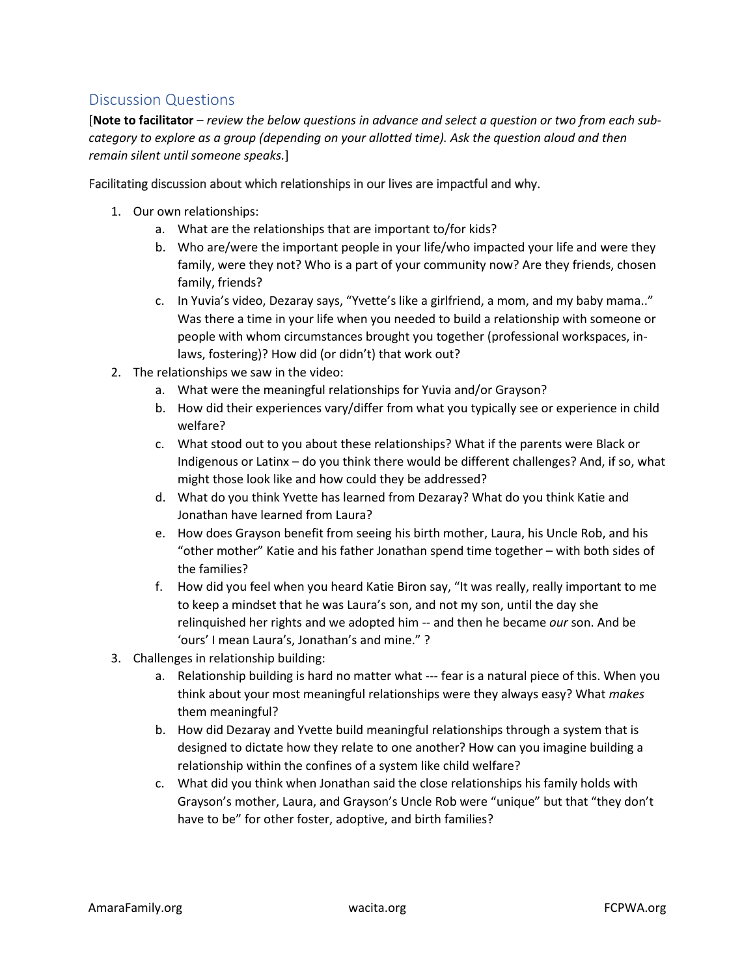# Discussion Questions

[**Note to facilitator** – *review the below questions in advance and select a question or two from each subcategory to explore as a group (depending on your allotted time). Ask the question aloud and then remain silent until someone speaks.*]

#### Facilitating discussion about which relationships in our lives are impactful and why.

- 1. Our own relationships:
	- a. What are the relationships that are important to/for kids?
	- b. Who are/were the important people in your life/who impacted your life and were they family, were they not? Who is a part of your community now? Are they friends, chosen family, friends?
	- c. In Yuvia's video, Dezaray says, "Yvette's like a girlfriend, a mom, and my baby mama.." Was there a time in your life when you needed to build a relationship with someone or people with whom circumstances brought you together (professional workspaces, inlaws, fostering)? How did (or didn't) that work out?
- 2. The relationships we saw in the video:
	- a. What were the meaningful relationships for Yuvia and/or Grayson?
	- b. How did their experiences vary/differ from what you typically see or experience in child welfare?
	- c. What stood out to you about these relationships? What if the parents were Black or Indigenous or Latinx – do you think there would be different challenges? And, if so, what might those look like and how could they be addressed?
	- d. What do you think Yvette has learned from Dezaray? What do you think Katie and Jonathan have learned from Laura?
	- e. How does Grayson benefit from seeing his birth mother, Laura, his Uncle Rob, and his "other mother" Katie and his father Jonathan spend time together – with both sides of the families?
	- f. How did you feel when you heard Katie Biron say, "It was really, really important to me to keep a mindset that he was Laura's son, and not my son, until the day she relinquished her rights and we adopted him -- and then he became *our* son. And be 'ours' I mean Laura's, Jonathan's and mine." ?
- 3. Challenges in relationship building:
	- a. Relationship building is hard no matter what --- fear is a natural piece of this. When you think about your most meaningful relationships were they always easy? What *makes* them meaningful?
	- b. How did Dezaray and Yvette build meaningful relationships through a system that is designed to dictate how they relate to one another? How can you imagine building a relationship within the confines of a system like child welfare?
	- c. What did you think when Jonathan said the close relationships his family holds with Grayson's mother, Laura, and Grayson's Uncle Rob were "unique" but that "they don't have to be" for other foster, adoptive, and birth families?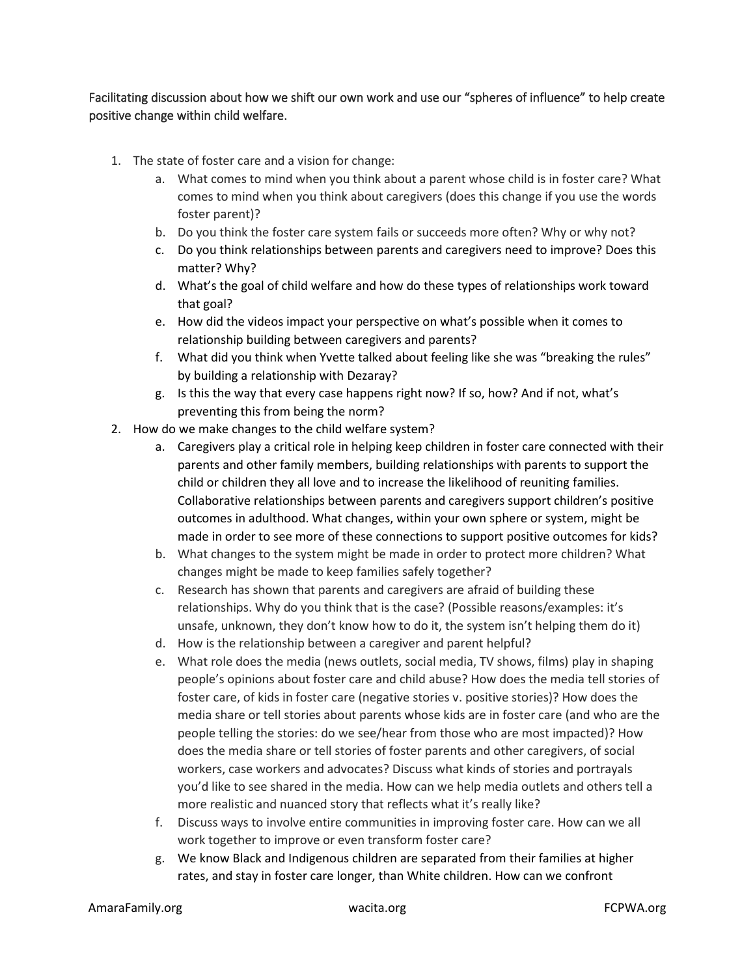Facilitating discussion about how we shift our own work and use our "spheres of influence" to help create positive change within child welfare.

- 1. The state of foster care and a vision for change:
	- a. What comes to mind when you think about a parent whose child is in foster care? What comes to mind when you think about caregivers (does this change if you use the words foster parent)?
	- b. Do you think the foster care system fails or succeeds more often? Why or why not?
	- c. Do you think relationships between parents and caregivers need to improve? Does this matter? Why?
	- d. What's the goal of child welfare and how do these types of relationships work toward that goal?
	- e. How did the videos impact your perspective on what's possible when it comes to relationship building between caregivers and parents?
	- f. What did you think when Yvette talked about feeling like she was "breaking the rules" by building a relationship with Dezaray?
	- g. Is this the way that every case happens right now? If so, how? And if not, what's preventing this from being the norm?
- 2. How do we make changes to the child welfare system?
	- a. Caregivers play a critical role in helping keep children in foster care connected with their parents and other family members, building relationships with parents to support the child or children they all love and to increase the likelihood of reuniting families. Collaborative relationships between parents and caregivers support children's positive outcomes in adulthood. What changes, within your own sphere or system, might be made in order to see more of these connections to support positive outcomes for kids?
	- b. What changes to the system might be made in order to protect more children? What changes might be made to keep families safely together?
	- c. Research has shown that parents and caregivers are afraid of building these relationships. Why do you think that is the case? (Possible reasons/examples: it's unsafe, unknown, they don't know how to do it, the system isn't helping them do it)
	- d. How is the relationship between a caregiver and parent helpful?
	- e. What role does the media (news outlets, social media, TV shows, films) play in shaping people's opinions about foster care and child abuse? How does the media tell stories of foster care, of kids in foster care (negative stories v. positive stories)? How does the media share or tell stories about parents whose kids are in foster care (and who are the people telling the stories: do we see/hear from those who are most impacted)? How does the media share or tell stories of foster parents and other caregivers, of social workers, case workers and advocates? Discuss what kinds of stories and portrayals you'd like to see shared in the media. How can we help media outlets and others tell a more realistic and nuanced story that reflects what it's really like?
	- f. Discuss ways to involve entire communities in improving foster care. How can we all work together to improve or even transform foster care?
	- g. We know Black and Indigenous children are separated from their families at higher rates, and stay in foster care longer, than White children. How can we confront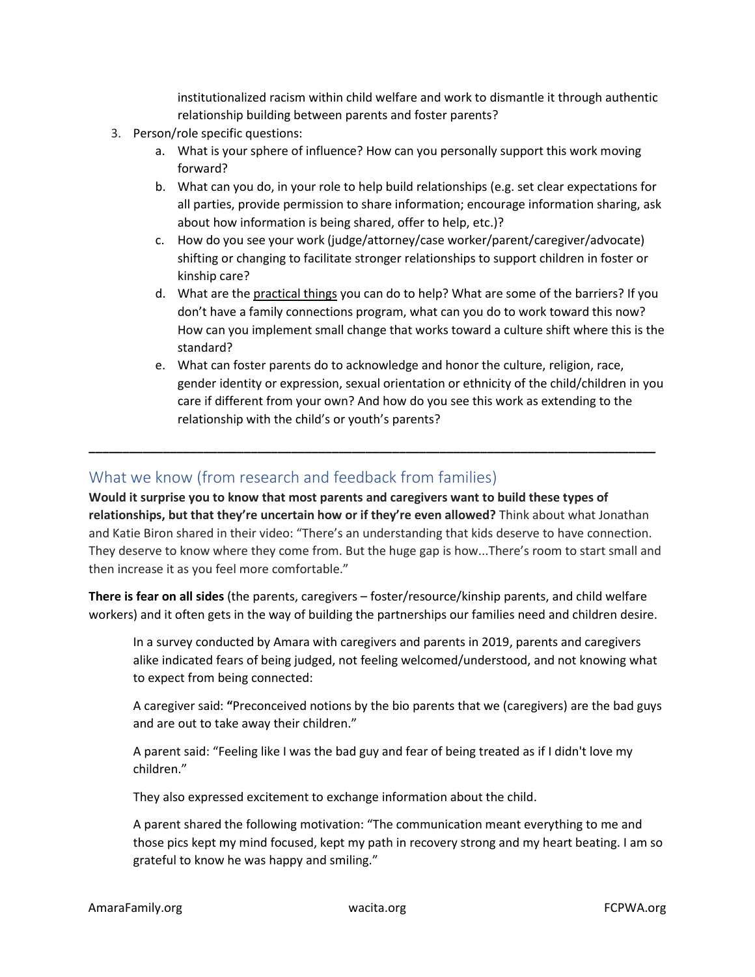institutionalized racism within child welfare and work to dismantle it through authentic relationship building between parents and foster parents?

- 3. Person/role specific questions:
	- a. What is your sphere of influence? How can you personally support this work moving forward?
	- b. What can you do, in your role to help build relationships (e.g. set clear expectations for all parties, provide permission to share information; encourage information sharing, ask about how information is being shared, offer to help, etc.)?
	- c. How do you see your work (judge/attorney/case worker/parent/caregiver/advocate) shifting or changing to facilitate stronger relationships to support children in foster or kinship care?
	- d. What are the practical things you can do to help? What are some of the barriers? If you don't have a family connections program, what can you do to work toward this now? How can you implement small change that works toward a culture shift where this is the standard?
	- e. What can foster parents do to acknowledge and honor the culture, religion, race, gender identity or expression, sexual orientation or ethnicity of the child/children in you care if different from your own? And how do you see this work as extending to the relationship with the child's or youth's parents?

## What we know (from research and feedback from families)

**Would it surprise you to know that most parents and caregivers want to build these types of relationships, but that they're uncertain how or if they're even allowed?** Think about what Jonathan and Katie Biron shared in their video: "There's an understanding that kids deserve to have connection. They deserve to know where they come from. But the huge gap is how...There's room to start small and then increase it as you feel more comfortable."

**\_\_\_\_\_\_\_\_\_\_\_\_\_\_\_\_\_\_\_\_\_\_\_\_\_\_\_\_\_\_\_\_\_\_\_\_\_\_\_\_\_\_\_\_\_\_\_\_\_\_\_\_\_\_\_\_\_\_\_\_\_\_\_\_\_\_\_\_\_\_\_\_\_\_\_\_\_\_\_\_\_\_\_\_**

**There is fear on all sides** (the parents, caregivers – foster/resource/kinship parents, and child welfare workers) and it often gets in the way of building the partnerships our families need and children desire.

In a survey conducted by Amara with caregivers and parents in 2019, parents and caregivers alike indicated fears of being judged, not feeling welcomed/understood, and not knowing what to expect from being connected:

A caregiver said: **"**Preconceived notions by the bio parents that we (caregivers) are the bad guys and are out to take away their children."

A parent said: "Feeling like I was the bad guy and fear of being treated as if I didn't love my children."

They also expressed excitement to exchange information about the child.

A parent shared the following motivation: "The communication meant everything to me and those pics kept my mind focused, kept my path in recovery strong and my heart beating. I am so grateful to know he was happy and smiling."